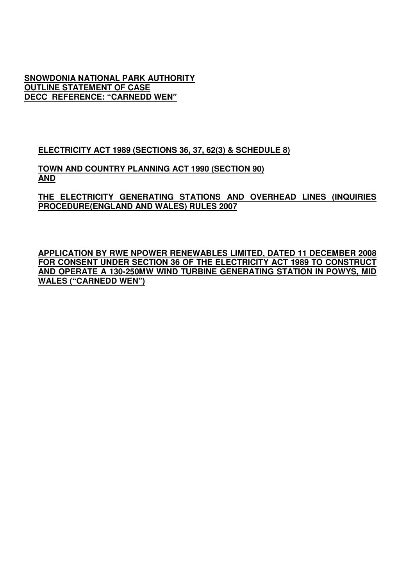**SNOWDONIA NATIONAL PARK AUTHORITY OUTLINE STATEMENT OF CASE DECC REFERENCE: "CARNEDD WEN"**

**ELECTRICITY ACT 1989 (SECTIONS 36, 37, 62(3) & SCHEDULE 8)**

**TOWN AND COUNTRY PLANNING ACT 1990 (SECTION 90) AND** 

**THE ELECTRICITY GENERATING STATIONS AND OVERHEAD LINES (INQUIRIES PROCEDURE(ENGLAND AND WALES) RULES 2007**

**APPLICATION BY RWE NPOWER RENEWABLES LIMITED, DATED 11 DECEMBER 2008 FOR CONSENT UNDER SECTION 36 OF THE ELECTRICITY ACT 1989 TO CONSTRUCT AND OPERATE A 130-250MW WIND TURBINE GENERATING STATION IN POWYS, MID WALES ("CARNEDD WEN")**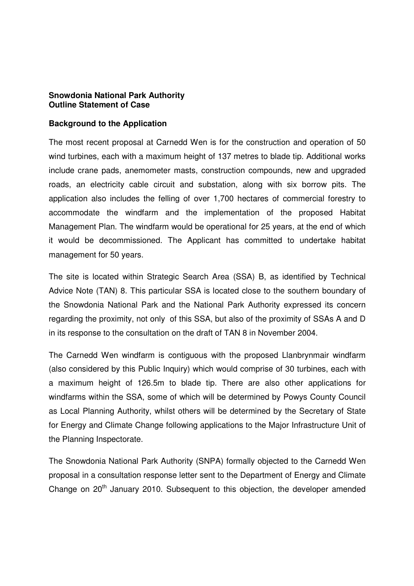#### **Snowdonia National Park Authority Outline Statement of Case**

#### **Background to the Application**

The most recent proposal at Carnedd Wen is for the construction and operation of 50 wind turbines, each with a maximum height of 137 metres to blade tip. Additional works include crane pads, anemometer masts, construction compounds, new and upgraded roads, an electricity cable circuit and substation, along with six borrow pits. The application also includes the felling of over 1,700 hectares of commercial forestry to accommodate the windfarm and the implementation of the proposed Habitat Management Plan. The windfarm would be operational for 25 years, at the end of which it would be decommissioned. The Applicant has committed to undertake habitat management for 50 years.

The site is located within Strategic Search Area (SSA) B, as identified by Technical Advice Note (TAN) 8. This particular SSA is located close to the southern boundary of the Snowdonia National Park and the National Park Authority expressed its concern regarding the proximity, not only of this SSA, but also of the proximity of SSAs A and D in its response to the consultation on the draft of TAN 8 in November 2004.

The Carnedd Wen windfarm is contiguous with the proposed Llanbrynmair windfarm (also considered by this Public Inquiry) which would comprise of 30 turbines, each with a maximum height of 126.5m to blade tip. There are also other applications for windfarms within the SSA, some of which will be determined by Powys County Council as Local Planning Authority, whilst others will be determined by the Secretary of State for Energy and Climate Change following applications to the Major Infrastructure Unit of the Planning Inspectorate.

The Snowdonia National Park Authority (SNPA) formally objected to the Carnedd Wen proposal in a consultation response letter sent to the Department of Energy and Climate Change on 20<sup>th</sup> January 2010. Subsequent to this objection, the developer amended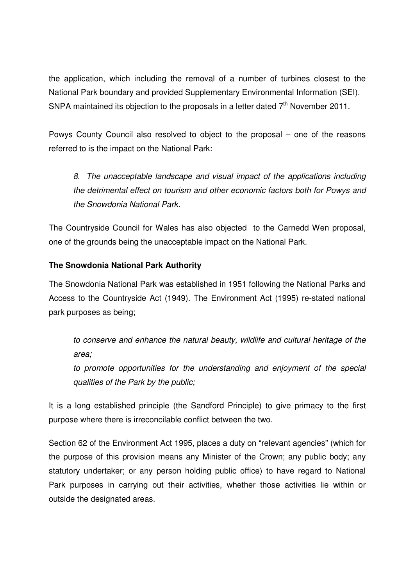the application, which including the removal of a number of turbines closest to the National Park boundary and provided Supplementary Environmental Information (SEI). SNPA maintained its objection to the proposals in a letter dated  $7<sup>th</sup>$  November 2011.

Powys County Council also resolved to object to the proposal – one of the reasons referred to is the impact on the National Park:

8. The unacceptable landscape and visual impact of the applications including the detrimental effect on tourism and other economic factors both for Powys and the Snowdonia National Park.

The Countryside Council for Wales has also objected to the Carnedd Wen proposal, one of the grounds being the unacceptable impact on the National Park.

# **The Snowdonia National Park Authority**

The Snowdonia National Park was established in 1951 following the National Parks and Access to the Countryside Act (1949). The Environment Act (1995) re-stated national park purposes as being;

to conserve and enhance the natural beauty, wildlife and cultural heritage of the area;

to promote opportunities for the understanding and enjoyment of the special qualities of the Park by the public;

It is a long established principle (the Sandford Principle) to give primacy to the first purpose where there is irreconcilable conflict between the two.

Section 62 of the Environment Act 1995, places a duty on "relevant agencies" (which for the purpose of this provision means any Minister of the Crown; any public body; any statutory undertaker; or any person holding public office) to have regard to National Park purposes in carrying out their activities, whether those activities lie within or outside the designated areas.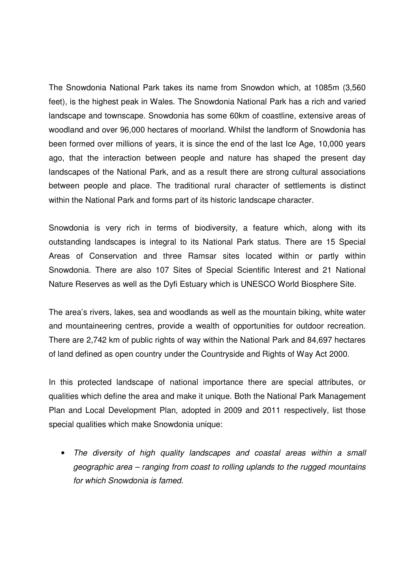The Snowdonia National Park takes its name from Snowdon which, at 1085m (3,560 feet), is the highest peak in Wales. The Snowdonia National Park has a rich and varied landscape and townscape. Snowdonia has some 60km of coastline, extensive areas of woodland and over 96,000 hectares of moorland. Whilst the landform of Snowdonia has been formed over millions of years, it is since the end of the last Ice Age, 10,000 years ago, that the interaction between people and nature has shaped the present day landscapes of the National Park, and as a result there are strong cultural associations between people and place. The traditional rural character of settlements is distinct within the National Park and forms part of its historic landscape character.

Snowdonia is very rich in terms of biodiversity, a feature which, along with its outstanding landscapes is integral to its National Park status. There are 15 Special Areas of Conservation and three Ramsar sites located within or partly within Snowdonia. There are also 107 Sites of Special Scientific Interest and 21 National Nature Reserves as well as the Dyfi Estuary which is UNESCO World Biosphere Site.

The area's rivers, lakes, sea and woodlands as well as the mountain biking, white water and mountaineering centres, provide a wealth of opportunities for outdoor recreation. There are 2,742 km of public rights of way within the National Park and 84,697 hectares of land defined as open country under the Countryside and Rights of Way Act 2000.

In this protected landscape of national importance there are special attributes, or qualities which define the area and make it unique. Both the National Park Management Plan and Local Development Plan, adopted in 2009 and 2011 respectively, list those special qualities which make Snowdonia unique:

• The diversity of high quality landscapes and coastal areas within a small geographic area – ranging from coast to rolling uplands to the rugged mountains for which Snowdonia is famed.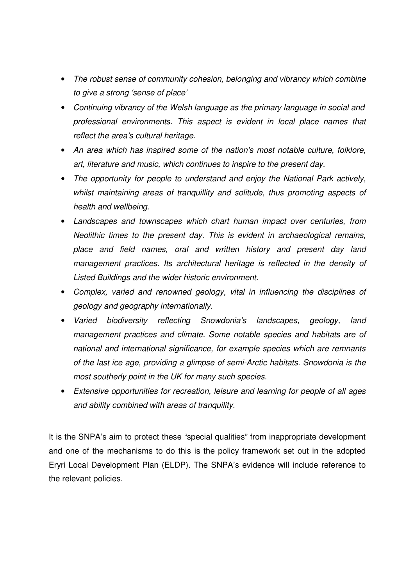- The robust sense of community cohesion, belonging and vibrancy which combine to give a strong 'sense of place'
- Continuing vibrancy of the Welsh language as the primary language in social and professional environments. This aspect is evident in local place names that reflect the area's cultural heritage.
- An area which has inspired some of the nation's most notable culture, folklore, art, literature and music, which continues to inspire to the present day.
- The opportunity for people to understand and enjoy the National Park actively, whilst maintaining areas of tranquillity and solitude, thus promoting aspects of health and wellbeing.
- Landscapes and townscapes which chart human impact over centuries, from Neolithic times to the present day. This is evident in archaeological remains, place and field names, oral and written history and present day land management practices. Its architectural heritage is reflected in the density of Listed Buildings and the wider historic environment.
- Complex, varied and renowned geology, vital in influencing the disciplines of geology and geography internationally.
- Varied biodiversity reflecting Snowdonia's landscapes, geology, land management practices and climate. Some notable species and habitats are of national and international significance, for example species which are remnants of the last ice age, providing a glimpse of semi-Arctic habitats. Snowdonia is the most southerly point in the UK for many such species.
- Extensive opportunities for recreation, leisure and learning for people of all ages and ability combined with areas of tranquility.

It is the SNPA's aim to protect these "special qualities" from inappropriate development and one of the mechanisms to do this is the policy framework set out in the adopted Eryri Local Development Plan (ELDP). The SNPA's evidence will include reference to the relevant policies.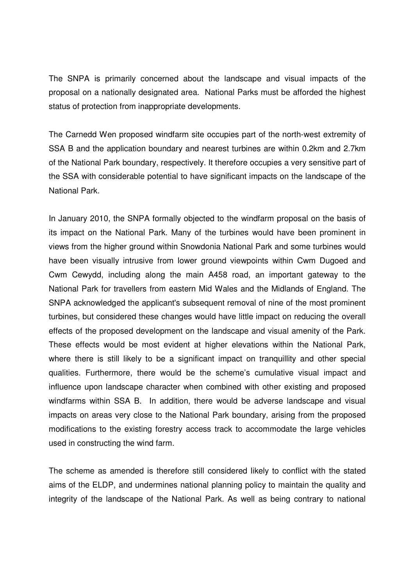The SNPA is primarily concerned about the landscape and visual impacts of the proposal on a nationally designated area. National Parks must be afforded the highest status of protection from inappropriate developments.

The Carnedd Wen proposed windfarm site occupies part of the north-west extremity of SSA B and the application boundary and nearest turbines are within 0.2km and 2.7km of the National Park boundary, respectively. It therefore occupies a very sensitive part of the SSA with considerable potential to have significant impacts on the landscape of the National Park.

In January 2010, the SNPA formally objected to the windfarm proposal on the basis of its impact on the National Park. Many of the turbines would have been prominent in views from the higher ground within Snowdonia National Park and some turbines would have been visually intrusive from lower ground viewpoints within Cwm Dugoed and Cwm Cewydd, including along the main A458 road, an important gateway to the National Park for travellers from eastern Mid Wales and the Midlands of England. The SNPA acknowledged the applicant's subsequent removal of nine of the most prominent turbines, but considered these changes would have little impact on reducing the overall effects of the proposed development on the landscape and visual amenity of the Park. These effects would be most evident at higher elevations within the National Park, where there is still likely to be a significant impact on tranquillity and other special qualities. Furthermore, there would be the scheme's cumulative visual impact and influence upon landscape character when combined with other existing and proposed windfarms within SSA B. In addition, there would be adverse landscape and visual impacts on areas very close to the National Park boundary, arising from the proposed modifications to the existing forestry access track to accommodate the large vehicles used in constructing the wind farm.

The scheme as amended is therefore still considered likely to conflict with the stated aims of the ELDP, and undermines national planning policy to maintain the quality and integrity of the landscape of the National Park. As well as being contrary to national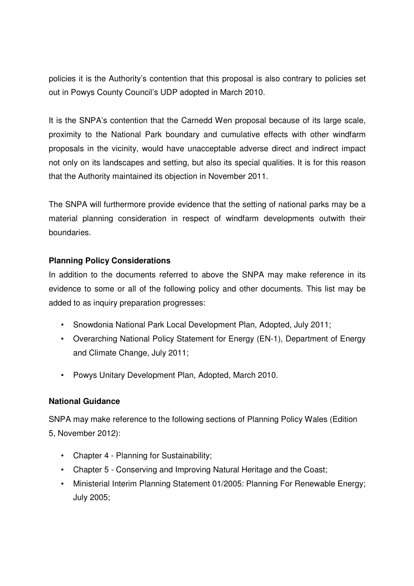policies it is the Authority's contention that this proposal is also contrary to policies set out in Powys County Council's UDP adopted in March 2010.

It is the SNPA's contention that the Carnedd Wen proposal because of its large scale, proximity to the National Park boundary and cumulative effects with other windfarm proposals in the vicinity, would have unacceptable adverse direct and indirect impact not only on its landscapes and setting, but also its special qualities. It is for this reason that the Authority maintained its objection in November 2011.

The SNPA will furthermore provide evidence that the setting of national parks may be a material planning consideration in respect of windfarm developments outwith their boundaries.

# **Planning Policy Considerations**

In addition to the documents referred to above the SNPA may make reference in its evidence to some or all of the following policy and other documents. This list may be added to as inquiry preparation progresses:

- Snowdonia National Park Local Development Plan, Adopted, July 2011;
- Overarching National Policy Statement for Energy (EN-1), Department of Energy and Climate Change, July 2011;
- Powys Unitary Development Plan, Adopted, March 2010.

# **National Guidance**

SNPA may make reference to the following sections of Planning Policy Wales (Edition 5, November 2012):

- Chapter 4 Planning for Sustainability;
- Chapter 5 Conserving and Improving Natural Heritage and the Coast;
- Ministerial Interim Planning Statement 01/2005: Planning For Renewable Energy; July 2005;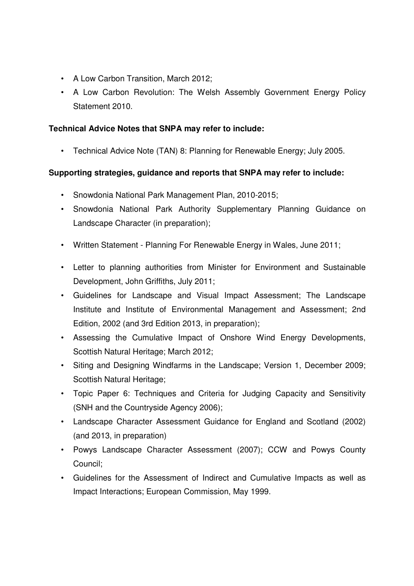- A Low Carbon Transition, March 2012;
- A Low Carbon Revolution: The Welsh Assembly Government Energy Policy Statement 2010.

#### **Technical Advice Notes that SNPA may refer to include:**

• Technical Advice Note (TAN) 8: Planning for Renewable Energy; July 2005.

# **Supporting strategies, guidance and reports that SNPA may refer to include:**

- Snowdonia National Park Management Plan, 2010-2015;
- Snowdonia National Park Authority Supplementary Planning Guidance on Landscape Character (in preparation);
- Written Statement Planning For Renewable Energy in Wales, June 2011;
- Letter to planning authorities from Minister for Environment and Sustainable Development, John Griffiths, July 2011;
- Guidelines for Landscape and Visual Impact Assessment; The Landscape Institute and Institute of Environmental Management and Assessment; 2nd Edition, 2002 (and 3rd Edition 2013, in preparation);
- Assessing the Cumulative Impact of Onshore Wind Energy Developments, Scottish Natural Heritage; March 2012;
- Siting and Designing Windfarms in the Landscape; Version 1, December 2009; Scottish Natural Heritage;
- Topic Paper 6: Techniques and Criteria for Judging Capacity and Sensitivity (SNH and the Countryside Agency 2006);
- Landscape Character Assessment Guidance for England and Scotland (2002) (and 2013, in preparation)
- Powys Landscape Character Assessment (2007); CCW and Powys County Council;
- Guidelines for the Assessment of Indirect and Cumulative Impacts as well as Impact Interactions; European Commission, May 1999.